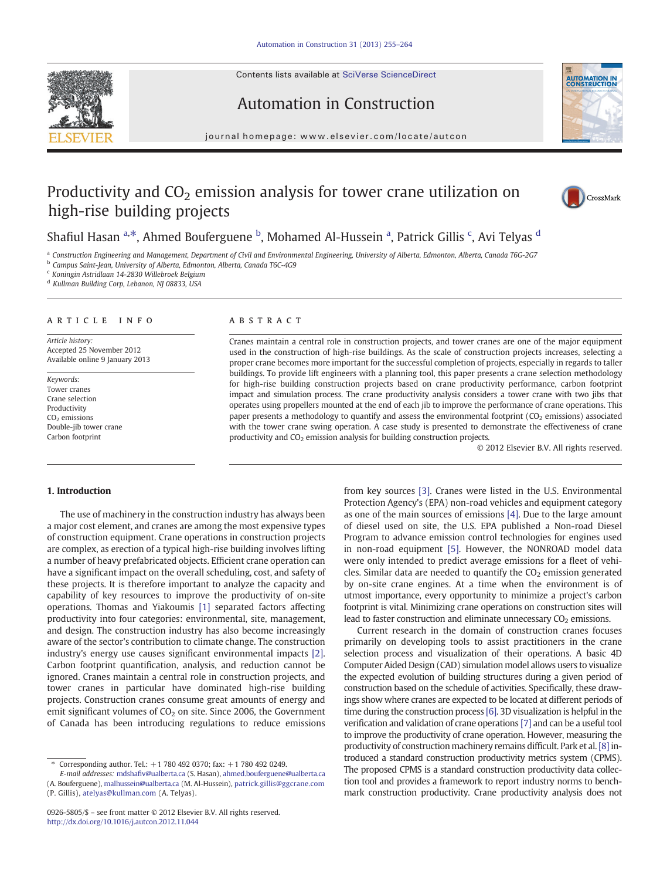Contents lists available at SciVerse ScienceDirect





# Automation in Construction

journal homepage: www.elsevier.com/locate/autcon

## Productivity and  $CO<sub>2</sub>$  emission analysis for tower crane utilization on high-rise building projects



## Shafiul Hasan <sup>a,\*</sup>, Ahmed Bouferguene <sup>b</sup>, Mohamed Al-Hussein <sup>a</sup>, Patrick Gillis <sup>c</sup>, Avi Telyas <sup>d</sup>

<sup>a</sup> Construction Engineering and Management, Department of Civil and Environmental Engineering, University of Alberta, Edmonton, Alberta, Canada T6G-2G7

**b** Campus Saint-Jean, University of Alberta, Edmonton, Alberta, Canada T6C-4G9

<sup>c</sup> Koningin Astridlaan 14-2830 Willebroek Belgium

<sup>d</sup> Kullman Building Corp, Lebanon, NJ 08833, USA

### article info abstract

Article history: Accepted 25 November 2012 Available online 9 January 2013

Keywords: Tower cranes Crane selection Productivity CO<sub>2</sub> emissions Double-jib tower crane Carbon footprint

Cranes maintain a central role in construction projects, and tower cranes are one of the major equipment used in the construction of high-rise buildings. As the scale of construction projects increases, selecting a proper crane becomes more important for the successful completion of projects, especially in regards to taller buildings. To provide lift engineers with a planning tool, this paper presents a crane selection methodology for high-rise building construction projects based on crane productivity performance, carbon footprint impact and simulation process. The crane productivity analysis considers a tower crane with two jibs that operates using propellers mounted at the end of each jib to improve the performance of crane operations. This paper presents a methodology to quantify and assess the environmental footprint  $(CO<sub>2</sub>$  emissions) associated with the tower crane swing operation. A case study is presented to demonstrate the effectiveness of crane productivity and  $CO<sub>2</sub>$  emission analysis for building construction projects.

© 2012 Elsevier B.V. All rights reserved.

## 1. Introduction

The use of machinery in the construction industry has always been a major cost element, and cranes are among the most expensive types of construction equipment. Crane operations in construction projects are complex, as erection of a typical high-rise building involves lifting a number of heavy prefabricated objects. Efficient crane operation can have a significant impact on the overall scheduling, cost, and safety of these projects. It is therefore important to analyze the capacity and capability of key resources to improve the productivity of on-site operations. Thomas and Yiakoumis [\[1\]](#page--1-0) separated factors affecting productivity into four categories: environmental, site, management, and design. The construction industry has also become increasingly aware of the sector's contribution to climate change. The construction industry's energy use causes significant environmental impacts [\[2\].](#page--1-0) Carbon footprint quantification, analysis, and reduction cannot be ignored. Cranes maintain a central role in construction projects, and tower cranes in particular have dominated high-rise building projects. Construction cranes consume great amounts of energy and emit significant volumes of  $CO<sub>2</sub>$  on site. Since 2006, the Government of Canada has been introducing regulations to reduce emissions

from key sources [\[3\]](#page--1-0). Cranes were listed in the U.S. Environmental Protection Agency's (EPA) non-road vehicles and equipment category as one of the main sources of emissions [\[4\].](#page--1-0) Due to the large amount of diesel used on site, the U.S. EPA published a Non-road Diesel Program to advance emission control technologies for engines used in non-road equipment [\[5\]](#page--1-0). However, the NONROAD model data were only intended to predict average emissions for a fleet of vehicles. Similar data are needed to quantify the  $CO<sub>2</sub>$  emission generated by on-site crane engines. At a time when the environment is of utmost importance, every opportunity to minimize a project's carbon footprint is vital. Minimizing crane operations on construction sites will lead to faster construction and eliminate unnecessary  $CO<sub>2</sub>$  emissions.

Current research in the domain of construction cranes focuses primarily on developing tools to assist practitioners in the crane selection process and visualization of their operations. A basic 4D Computer Aided Design (CAD) simulation model allows users to visualize the expected evolution of building structures during a given period of construction based on the schedule of activities. Specifically, these drawings show where cranes are expected to be located at different periods of time during the construction process [\[6\]](#page--1-0). 3D visualization is helpful in the verification and validation of crane operations [\[7\]](#page--1-0) and can be a useful tool to improve the productivity of crane operation. However, measuring the productivity of construction machinery remains difficult. Park et al. [\[8\]](#page--1-0) introduced a standard construction productivity metrics system (CPMS). The proposed CPMS is a standard construction productivity data collection tool and provides a framework to report industry norms to benchmark construction productivity. Crane productivity analysis does not

Corresponding author. Tel.:  $+1$  780 492 0370; fax:  $+1$  780 492 0249.

E-mail addresses: mdshafi[v@ualberta.ca](mailto:mdshafiv@ualberta.ca) (S. Hasan), [ahmed.bouferguene@ualberta.ca](mailto:ahmed.bouferguene@ualberta.ca) (A. Bouferguene), [malhussein@ualberta.ca](mailto:malhussein@ualberta.ca) (M. Al-Hussein), [patrick.gillis@ggcrane.com](mailto:patrick.gillis@ggcrane.com)

<sup>(</sup>P. Gillis), [atelyas@kullman.com](mailto:atelyas@kullman.com) (A. Telyas).

<sup>0926-5805/\$</sup> – see front matter © 2012 Elsevier B.V. All rights reserved. <http://dx.doi.org/10.1016/j.autcon.2012.11.044>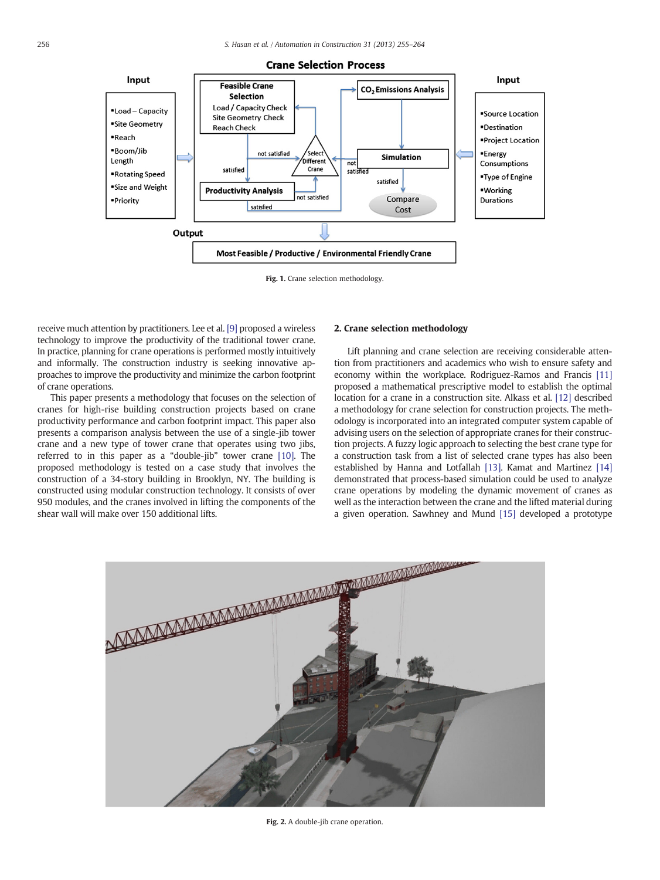

Fig. 1. Crane selection methodology.

receive much attention by practitioners. Lee et al. [\[9\]](#page--1-0) proposed a wireless technology to improve the productivity of the traditional tower crane. In practice, planning for crane operations is performed mostly intuitively and informally. The construction industry is seeking innovative approaches to improve the productivity and minimize the carbon footprint of crane operations.

This paper presents a methodology that focuses on the selection of cranes for high-rise building construction projects based on crane productivity performance and carbon footprint impact. This paper also presents a comparison analysis between the use of a single-jib tower crane and a new type of tower crane that operates using two jibs, referred to in this paper as a "double-jib" tower crane [\[10\]](#page--1-0). The proposed methodology is tested on a case study that involves the construction of a 34-story building in Brooklyn, NY. The building is constructed using modular construction technology. It consists of over 950 modules, and the cranes involved in lifting the components of the shear wall will make over 150 additional lifts.

### 2. Crane selection methodology

Lift planning and crane selection are receiving considerable attention from practitioners and academics who wish to ensure safety and economy within the workplace. Rodriguez-Ramos and Francis [\[11\]](#page--1-0) proposed a mathematical prescriptive model to establish the optimal location for a crane in a construction site. Alkass et al. [\[12\]](#page--1-0) described a methodology for crane selection for construction projects. The methodology is incorporated into an integrated computer system capable of advising users on the selection of appropriate cranes for their construction projects. A fuzzy logic approach to selecting the best crane type for a construction task from a list of selected crane types has also been established by Hanna and Lotfallah [\[13\]](#page--1-0). Kamat and Martinez [\[14\]](#page--1-0) demonstrated that process-based simulation could be used to analyze crane operations by modeling the dynamic movement of cranes as well as the interaction between the crane and the lifted material during a given operation. Sawhney and Mund [\[15\]](#page--1-0) developed a prototype